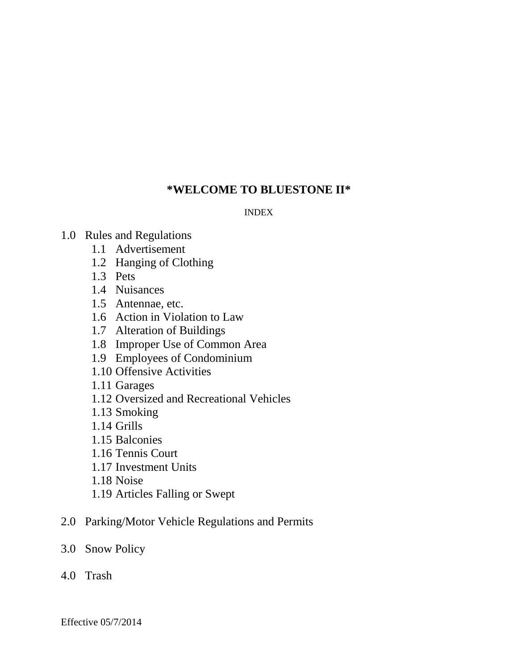# **\*WELCOME TO BLUESTONE II\***

### INDEX

- 1.0 Rules and Regulations
	- 1.1 Advertisement
	- 1.2 Hanging of Clothing
	- 1.3 Pets
	- 1.4 Nuisances
	- 1.5 Antennae, etc.
	- 1.6 Action in Violation to Law
	- 1.7 Alteration of Buildings
	- 1.8 Improper Use of Common Area
	- 1.9 Employees of Condominium
	- 1.10 Offensive Activities
	- 1.11 Garages
	- 1.12 Oversized and Recreational Vehicles
	- 1.13 Smoking
	- 1.14 Grills
	- 1.15 Balconies
	- 1.16 Tennis Court
	- 1.17 Investment Units
	- 1.18 Noise
	- 1.19 Articles Falling or Swept
- 2.0 Parking/Motor Vehicle Regulations and Permits
- 3.0 Snow Policy
- 4.0 Trash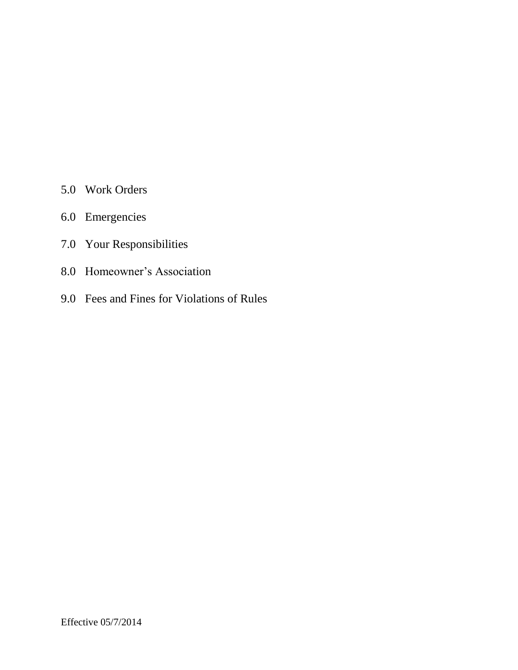- 5.0 Work Orders
- 6.0 Emergencies
- 7.0 Your Responsibilities
- 8.0 Homeowner's Association
- 9.0 Fees and Fines for Violations of Rules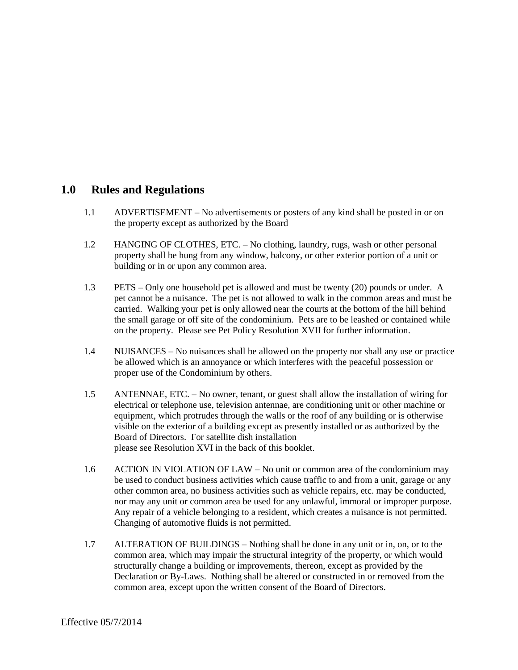### **1.0 Rules and Regulations**

- 1.1 ADVERTISEMENT No advertisements or posters of any kind shall be posted in or on the property except as authorized by the Board
- 1.2 HANGING OF CLOTHES, ETC. No clothing, laundry, rugs, wash or other personal property shall be hung from any window, balcony, or other exterior portion of a unit or building or in or upon any common area.
- 1.3 PETS Only one household pet is allowed and must be twenty (20) pounds or under. A pet cannot be a nuisance. The pet is not allowed to walk in the common areas and must be carried. Walking your pet is only allowed near the courts at the bottom of the hill behind the small garage or off site of the condominium. Pets are to be leashed or contained while on the property. Please see Pet Policy Resolution XVII for further information.
- 1.4 NUISANCES No nuisances shall be allowed on the property nor shall any use or practice be allowed which is an annoyance or which interferes with the peaceful possession or proper use of the Condominium by others.
- 1.5 ANTENNAE, ETC. No owner, tenant, or guest shall allow the installation of wiring for electrical or telephone use, television antennae, are conditioning unit or other machine or equipment, which protrudes through the walls or the roof of any building or is otherwise visible on the exterior of a building except as presently installed or as authorized by the Board of Directors. For satellite dish installation please see Resolution XVI in the back of this booklet.
- 1.6 ACTION IN VIOLATION OF LAW No unit or common area of the condominium may be used to conduct business activities which cause traffic to and from a unit, garage or any other common area, no business activities such as vehicle repairs, etc. may be conducted, nor may any unit or common area be used for any unlawful, immoral or improper purpose. Any repair of a vehicle belonging to a resident, which creates a nuisance is not permitted. Changing of automotive fluids is not permitted.
- 1.7 ALTERATION OF BUILDINGS Nothing shall be done in any unit or in, on, or to the common area, which may impair the structural integrity of the property, or which would structurally change a building or improvements, thereon, except as provided by the Declaration or By-Laws. Nothing shall be altered or constructed in or removed from the common area, except upon the written consent of the Board of Directors.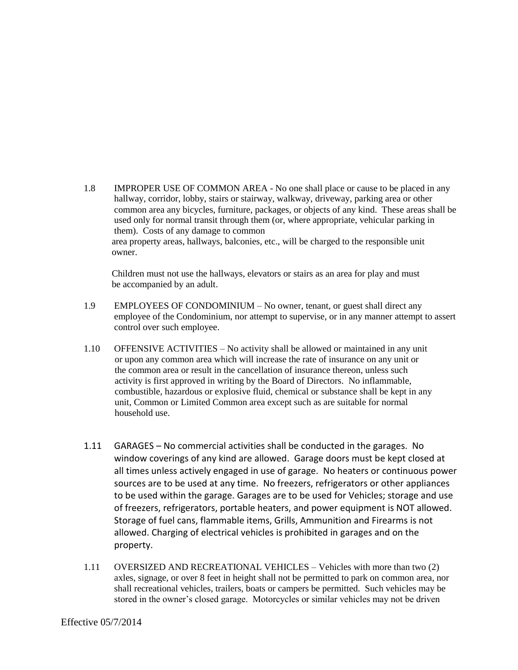1.8 IMPROPER USE OF COMMON AREA - No one shall place or cause to be placed in any hallway, corridor, lobby, stairs or stairway, walkway, driveway, parking area or other common area any bicycles, furniture, packages, or objects of any kind. These areas shall be used only for normal transit through them (or, where appropriate, vehicular parking in them). Costs of any damage to common area property areas, hallways, balconies, etc., will be charged to the responsible unit owner.

 Children must not use the hallways, elevators or stairs as an area for play and must be accompanied by an adult.

- 1.9 EMPLOYEES OF CONDOMINIUM No owner, tenant, or guest shall direct any employee of the Condominium, nor attempt to supervise, or in any manner attempt to assert control over such employee.
- 1.10 OFFENSIVE ACTIVITIES No activity shall be allowed or maintained in any unit or upon any common area which will increase the rate of insurance on any unit or the common area or result in the cancellation of insurance thereon, unless such activity is first approved in writing by the Board of Directors. No inflammable, combustible, hazardous or explosive fluid, chemical or substance shall be kept in any unit, Common or Limited Common area except such as are suitable for normal household use.
- 1.11 GARAGES No commercial activities shall be conducted in the garages. No window coverings of any kind are allowed. Garage doors must be kept closed at all times unless actively engaged in use of garage. No heaters or continuous power sources are to be used at any time. No freezers, refrigerators or other appliances to be used within the garage. Garages are to be used for Vehicles; storage and use of freezers, refrigerators, portable heaters, and power equipment is NOT allowed. Storage of fuel cans, flammable items, Grills, Ammunition and Firearms is not allowed. Charging of electrical vehicles is prohibited in garages and on the property.
- 1.11 OVERSIZED AND RECREATIONAL VEHICLES Vehicles with more than two (2) axles, signage, or over 8 feet in height shall not be permitted to park on common area, nor shall recreational vehicles, trailers, boats or campers be permitted. Such vehicles may be stored in the owner's closed garage. Motorcycles or similar vehicles may not be driven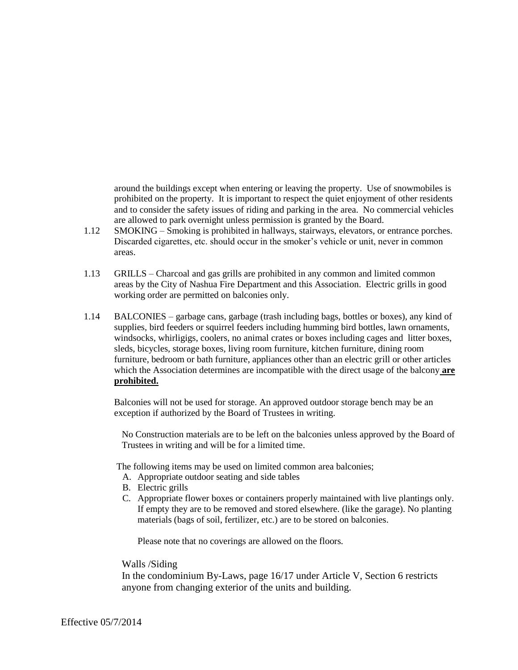around the buildings except when entering or leaving the property. Use of snowmobiles is prohibited on the property. It is important to respect the quiet enjoyment of other residents and to consider the safety issues of riding and parking in the area. No commercial vehicles are allowed to park overnight unless permission is granted by the Board.

- 1.12 SMOKING Smoking is prohibited in hallways, stairways, elevators, or entrance porches. Discarded cigarettes, etc. should occur in the smoker's vehicle or unit, never in common areas.
- 1.13 GRILLS Charcoal and gas grills are prohibited in any common and limited common areas by the City of Nashua Fire Department and this Association. Electric grills in good working order are permitted on balconies only.
- 1.14 BALCONIES garbage cans, garbage (trash including bags, bottles or boxes), any kind of supplies, bird feeders or squirrel feeders including humming bird bottles, lawn ornaments, windsocks, whirligigs, coolers, no animal crates or boxes including cages and litter boxes, sleds, bicycles, storage boxes, living room furniture, kitchen furniture, dining room furniture, bedroom or bath furniture, appliances other than an electric grill or other articles which the Association determines are incompatible with the direct usage of the balcony **are prohibited.**

Balconies will not be used for storage. An approved outdoor storage bench may be an exception if authorized by the Board of Trustees in writing.

No Construction materials are to be left on the balconies unless approved by the Board of Trustees in writing and will be for a limited time.

The following items may be used on limited common area balconies;

- A. Appropriate outdoor seating and side tables
- B. Electric grills
- C. Appropriate flower boxes or containers properly maintained with live plantings only. If empty they are to be removed and stored elsewhere. (like the garage). No planting materials (bags of soil, fertilizer, etc.) are to be stored on balconies.

Please note that no coverings are allowed on the floors.

#### Walls /Siding

In the condominium By-Laws, page 16/17 under Article V, Section 6 restricts anyone from changing exterior of the units and building.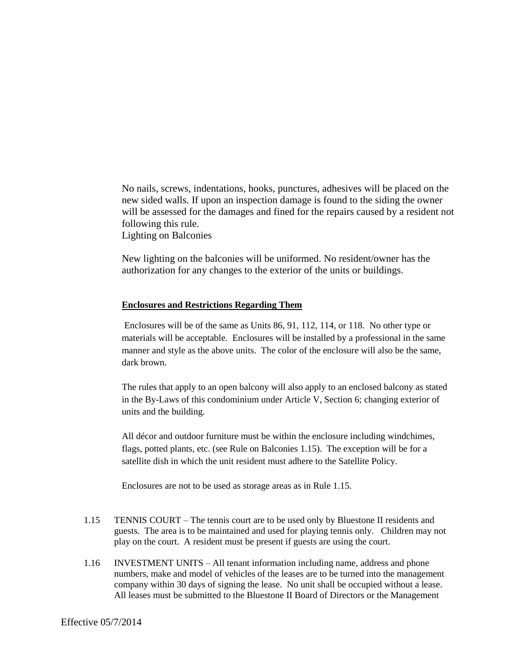No nails, screws, indentations, hooks, punctures, adhesives will be placed on the new sided walls. If upon an inspection damage is found to the siding the owner will be assessed for the damages and fined for the repairs caused by a resident not following this rule.

Lighting on Balconies

New lighting on the balconies will be uniformed. No resident/owner has the authorization for any changes to the exterior of the units or buildings.

#### **Enclosures and Restrictions Regarding Them**

Enclosures will be of the same as Units 86, 91, 112, 114, or 118. No other type or materials will be acceptable. Enclosures will be installed by a professional in the same manner and style as the above units. The color of the enclosure will also be the same, dark brown.

The rules that apply to an open balcony will also apply to an enclosed balcony as stated in the By-Laws of this condominium under Article V, Section 6; changing exterior of units and the building.

All décor and outdoor furniture must be within the enclosure including windchimes, flags, potted plants, etc. (see Rule on Balconies 1.15). The exception will be for a satellite dish in which the unit resident must adhere to the Satellite Policy.

Enclosures are not to be used as storage areas as in Rule 1.15.

- 1.15 TENNIS COURT The tennis court are to be used only by Bluestone II residents and guests. The area is to be maintained and used for playing tennis only. Children may not play on the court. A resident must be present if guests are using the court.
- 1.16 INVESTMENT UNITS All tenant information including name, address and phone numbers, make and model of vehicles of the leases are to be turned into the management company within 30 days of signing the lease. No unit shall be occupied without a lease. All leases must be submitted to the Bluestone II Board of Directors or the Management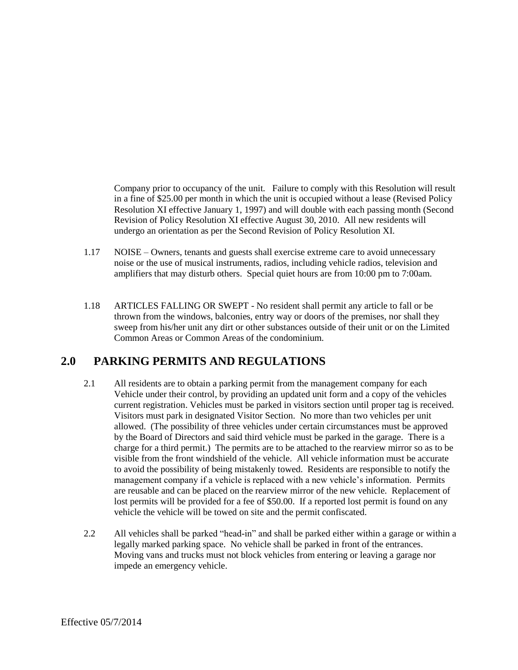Company prior to occupancy of the unit. Failure to comply with this Resolution will result in a fine of \$25.00 per month in which the unit is occupied without a lease (Revised Policy Resolution XI effective January 1, 1997) and will double with each passing month (Second Revision of Policy Resolution XI effective August 30, 2010. All new residents will undergo an orientation as per the Second Revision of Policy Resolution XI.

- 1.17 NOISE Owners, tenants and guests shall exercise extreme care to avoid unnecessary noise or the use of musical instruments, radios, including vehicle radios, television and amplifiers that may disturb others. Special quiet hours are from 10:00 pm to 7:00am.
- 1.18 ARTICLES FALLING OR SWEPT No resident shall permit any article to fall or be thrown from the windows, balconies, entry way or doors of the premises, nor shall they sweep from his/her unit any dirt or other substances outside of their unit or on the Limited Common Areas or Common Areas of the condominium.

## **2.0 PARKING PERMITS AND REGULATIONS**

- 2.1 All residents are to obtain a parking permit from the management company for each Vehicle under their control, by providing an updated unit form and a copy of the vehicles current registration. Vehicles must be parked in visitors section until proper tag is received. Visitors must park in designated Visitor Section. No more than two vehicles per unit allowed. (The possibility of three vehicles under certain circumstances must be approved by the Board of Directors and said third vehicle must be parked in the garage. There is a charge for a third permit.) The permits are to be attached to the rearview mirror so as to be visible from the front windshield of the vehicle. All vehicle information must be accurate to avoid the possibility of being mistakenly towed. Residents are responsible to notify the management company if a vehicle is replaced with a new vehicle's information. Permits are reusable and can be placed on the rearview mirror of the new vehicle. Replacement of lost permits will be provided for a fee of \$50.00. If a reported lost permit is found on any vehicle the vehicle will be towed on site and the permit confiscated.
- 2.2 All vehicles shall be parked "head-in" and shall be parked either within a garage or within a legally marked parking space. No vehicle shall be parked in front of the entrances. Moving vans and trucks must not block vehicles from entering or leaving a garage nor impede an emergency vehicle.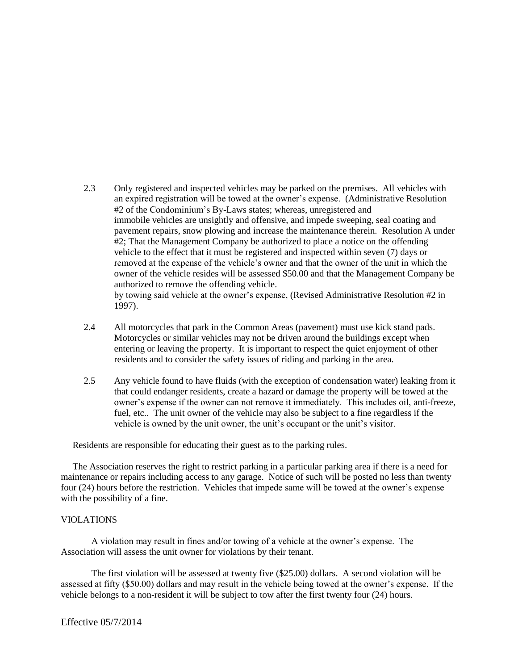- 2.3 Only registered and inspected vehicles may be parked on the premises. All vehicles with an expired registration will be towed at the owner's expense. (Administrative Resolution #2 of the Condominium's By-Laws states; whereas, unregistered and immobile vehicles are unsightly and offensive, and impede sweeping, seal coating and pavement repairs, snow plowing and increase the maintenance therein. Resolution A under #2; That the Management Company be authorized to place a notice on the offending vehicle to the effect that it must be registered and inspected within seven (7) days or removed at the expense of the vehicle's owner and that the owner of the unit in which the owner of the vehicle resides will be assessed \$50.00 and that the Management Company be authorized to remove the offending vehicle. by towing said vehicle at the owner's expense, (Revised Administrative Resolution #2 in 1997).
- 2.4 All motorcycles that park in the Common Areas (pavement) must use kick stand pads. Motorcycles or similar vehicles may not be driven around the buildings except when entering or leaving the property. It is important to respect the quiet enjoyment of other residents and to consider the safety issues of riding and parking in the area.
- 2.5 Any vehicle found to have fluids (with the exception of condensation water) leaking from it that could endanger residents, create a hazard or damage the property will be towed at the owner's expense if the owner can not remove it immediately. This includes oil, anti-freeze, fuel, etc.. The unit owner of the vehicle may also be subject to a fine regardless if the vehicle is owned by the unit owner, the unit's occupant or the unit's visitor.

Residents are responsible for educating their guest as to the parking rules.

 The Association reserves the right to restrict parking in a particular parking area if there is a need for maintenance or repairs including access to any garage. Notice of such will be posted no less than twenty four (24) hours before the restriction. Vehicles that impede same will be towed at the owner's expense with the possibility of a fine.

#### VIOLATIONS

 A violation may result in fines and/or towing of a vehicle at the owner's expense. The Association will assess the unit owner for violations by their tenant.

The first violation will be assessed at twenty five (\$25.00) dollars. A second violation will be assessed at fifty (\$50.00) dollars and may result in the vehicle being towed at the owner's expense. If the vehicle belongs to a non-resident it will be subject to tow after the first twenty four (24) hours.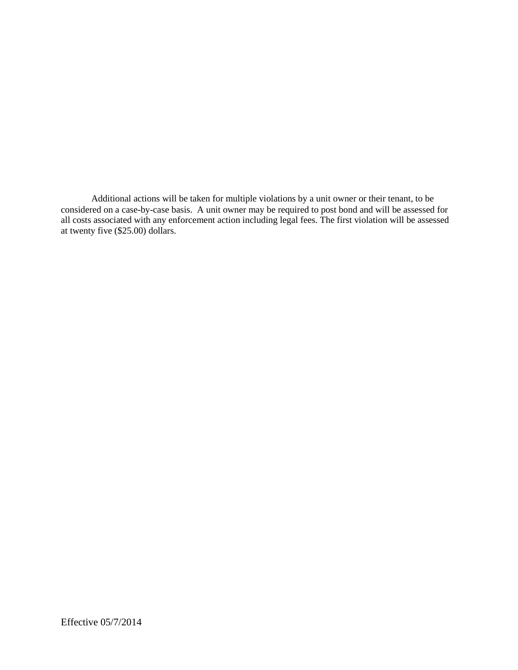Additional actions will be taken for multiple violations by a unit owner or their tenant, to be considered on a case-by-case basis. A unit owner may be required to post bond and will be assessed for all costs associated with any enforcement action including legal fees. The first violation will be assessed at twenty five (\$25.00) dollars.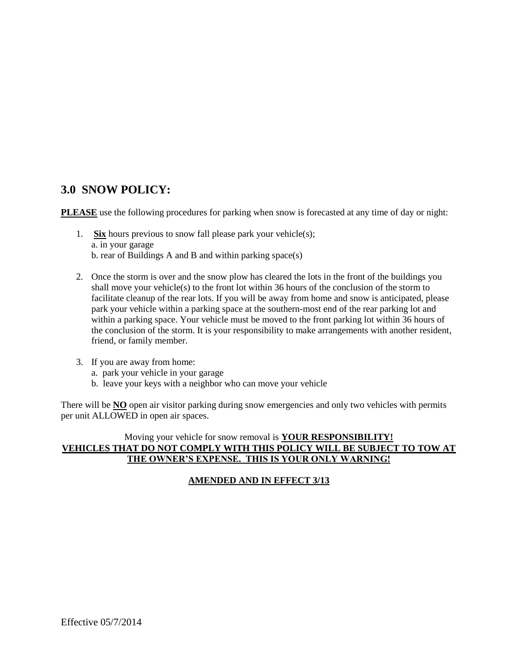# **3.0 SNOW POLICY:**

**PLEASE** use the following procedures for parking when snow is forecasted at any time of day or night:

- 1. **Six** hours previous to snow fall please park your vehicle(s); a. in your garage b. rear of Buildings A and B and within parking space(s)
- 2. Once the storm is over and the snow plow has cleared the lots in the front of the buildings you shall move your vehicle(s) to the front lot within 36 hours of the conclusion of the storm to facilitate cleanup of the rear lots. If you will be away from home and snow is anticipated, please park your vehicle within a parking space at the southern-most end of the rear parking lot and within a parking space. Your vehicle must be moved to the front parking lot within 36 hours of the conclusion of the storm. It is your responsibility to make arrangements with another resident, friend, or family member.
- 3. If you are away from home:
	- a. park your vehicle in your garage
	- b. leave your keys with a neighbor who can move your vehicle

There will be **NO** open air visitor parking during snow emergencies and only two vehicles with permits per unit ALLOWED in open air spaces.

### Moving your vehicle for snow removal is **YOUR RESPONSIBILITY! VEHICLES THAT DO NOT COMPLY WITH THIS POLICY WILL BE SUBJECT TO TOW AT THE OWNER'S EXPENSE. THIS IS YOUR ONLY WARNING!**

### **AMENDED AND IN EFFECT 3/13**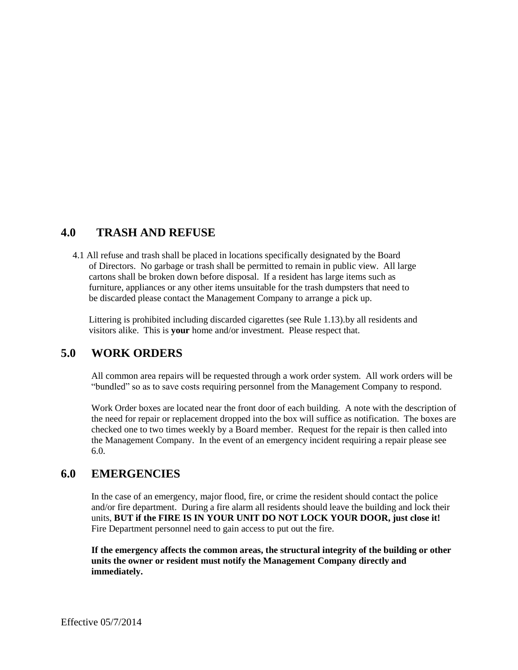### **4.0 TRASH AND REFUSE**

 4.1 All refuse and trash shall be placed in locations specifically designated by the Board of Directors. No garbage or trash shall be permitted to remain in public view. All large cartons shall be broken down before disposal. If a resident has large items such as furniture, appliances or any other items unsuitable for the trash dumpsters that need to be discarded please contact the Management Company to arrange a pick up.

 Littering is prohibited including discarded cigarettes (see Rule 1.13).by all residents and visitors alike. This is **your** home and/or investment. Please respect that.

## **5.0 WORK ORDERS**

All common area repairs will be requested through a work order system. All work orders will be "bundled" so as to save costs requiring personnel from the Management Company to respond.

Work Order boxes are located near the front door of each building. A note with the description of the need for repair or replacement dropped into the box will suffice as notification. The boxes are checked one to two times weekly by a Board member. Request for the repair is then called into the Management Company. In the event of an emergency incident requiring a repair please see 6.0.

### **6.0 EMERGENCIES**

In the case of an emergency, major flood, fire, or crime the resident should contact the police and/or fire department. During a fire alarm all residents should leave the building and lock their units, **BUT if the FIRE IS IN YOUR UNIT DO NOT LOCK YOUR DOOR, just close it!** Fire Department personnel need to gain access to put out the fire.

**If the emergency affects the common areas, the structural integrity of the building or other units the owner or resident must notify the Management Company directly and immediately.**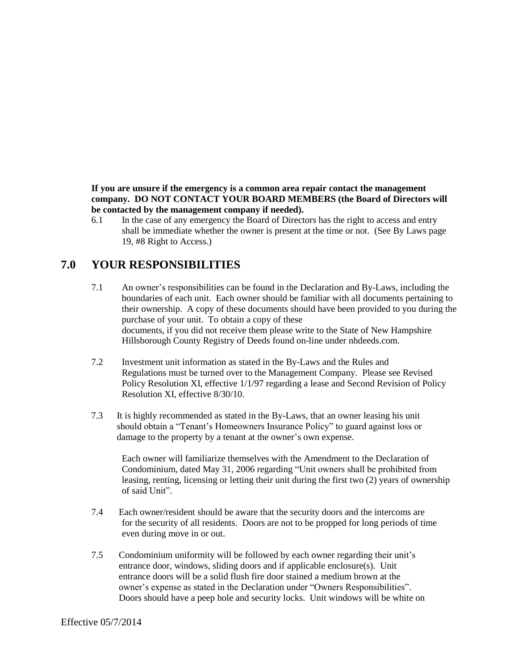**If you are unsure if the emergency is a common area repair contact the management company. DO NOT CONTACT YOUR BOARD MEMBERS (the Board of Directors will be contacted by the management company if needed).**

6.1 In the case of any emergency the Board of Directors has the right to access and entry shall be immediate whether the owner is present at the time or not. (See By Laws page 19, #8 Right to Access.)

# **7.0 YOUR RESPONSIBILITIES**

- 7.1 An owner's responsibilities can be found in the Declaration and By-Laws, including the boundaries of each unit. Each owner should be familiar with all documents pertaining to their ownership. A copy of these documents should have been provided to you during the purchase of your unit. To obtain a copy of these documents, if you did not receive them please write to the State of New Hampshire Hillsborough County Registry of Deeds found on-line under nhdeeds.com.
- 7.2 Investment unit information as stated in the By-Laws and the Rules and Regulations must be turned over to the Management Company. Please see Revised Policy Resolution XI, effective 1/1/97 regarding a lease and Second Revision of Policy Resolution XI, effective 8/30/10.
- 7.3 It is highly recommended as stated in the By-Laws, that an owner leasing his unit should obtain a "Tenant's Homeowners Insurance Policy" to guard against loss or damage to the property by a tenant at the owner's own expense.

Each owner will familiarize themselves with the Amendment to the Declaration of Condominium, dated May 31, 2006 regarding "Unit owners shall be prohibited from leasing, renting, licensing or letting their unit during the first two (2) years of ownership of said Unit".

- 7.4 Each owner/resident should be aware that the security doors and the intercoms are for the security of all residents. Doors are not to be propped for long periods of time even during move in or out.
- 7.5 Condominium uniformity will be followed by each owner regarding their unit's entrance door, windows, sliding doors and if applicable enclosure(s). Unit entrance doors will be a solid flush fire door stained a medium brown at the owner's expense as stated in the Declaration under "Owners Responsibilities". Doors should have a peep hole and security locks. Unit windows will be white on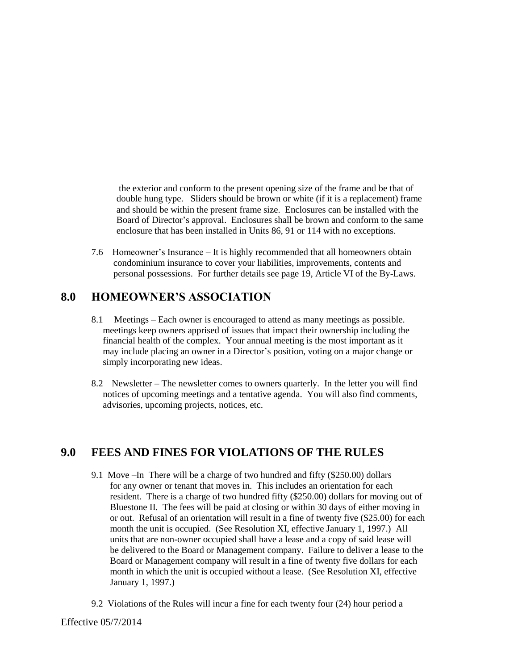the exterior and conform to the present opening size of the frame and be that of double hung type. Sliders should be brown or white (if it is a replacement) frame and should be within the present frame size. Enclosures can be installed with the Board of Director's approval. Enclosures shall be brown and conform to the same enclosure that has been installed in Units 86, 91 or 114 with no exceptions.

7.6 Homeowner's Insurance – It is highly recommended that all homeowners obtain condominium insurance to cover your liabilities, improvements, contents and personal possessions. For further details see page 19, Article VI of the By-Laws.

### **8.0 HOMEOWNER'S ASSOCIATION**

- 8.1 Meetings Each owner is encouraged to attend as many meetings as possible. meetings keep owners apprised of issues that impact their ownership including the financial health of the complex. Your annual meeting is the most important as it may include placing an owner in a Director's position, voting on a major change or simply incorporating new ideas.
- 8.2 Newsletter The newsletter comes to owners quarterly. In the letter you will find notices of upcoming meetings and a tentative agenda. You will also find comments, advisories, upcoming projects, notices, etc.

## **9.0 FEES AND FINES FOR VIOLATIONS OF THE RULES**

- 9.1 Move –In There will be a charge of two hundred and fifty (\$250.00) dollars for any owner or tenant that moves in. This includes an orientation for each resident. There is a charge of two hundred fifty (\$250.00) dollars for moving out of Bluestone II. The fees will be paid at closing or within 30 days of either moving in or out. Refusal of an orientation will result in a fine of twenty five (\$25.00) for each month the unit is occupied. (See Resolution XI, effective January 1, 1997.) All units that are non-owner occupied shall have a lease and a copy of said lease will be delivered to the Board or Management company. Failure to deliver a lease to the Board or Management company will result in a fine of twenty five dollars for each month in which the unit is occupied without a lease. (See Resolution XI, effective January 1, 1997.)
- 9.2 Violations of the Rules will incur a fine for each twenty four (24) hour period a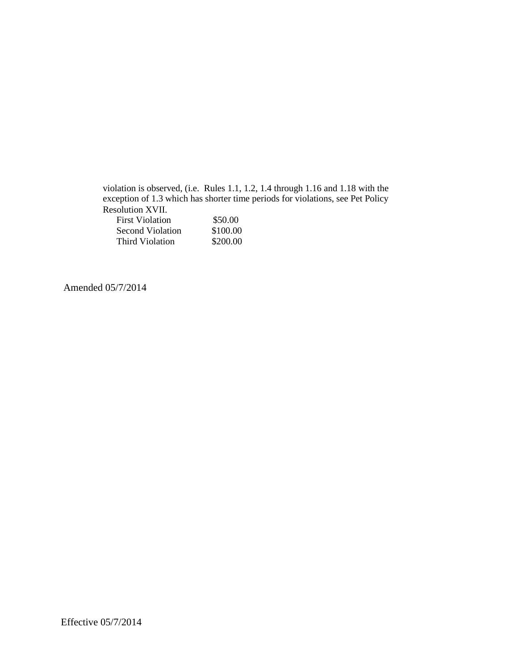violation is observed, (i.e. Rules 1.1, 1.2, 1.4 through 1.16 and 1.18 with the exception of 1.3 which has shorter time periods for violations, see Pet Policy Resolution XVII.

| <b>First Violation</b> | \$50.00  |
|------------------------|----------|
| Second Violation       | \$100.00 |
| Third Violation        | \$200.00 |

Amended 05/7/2014